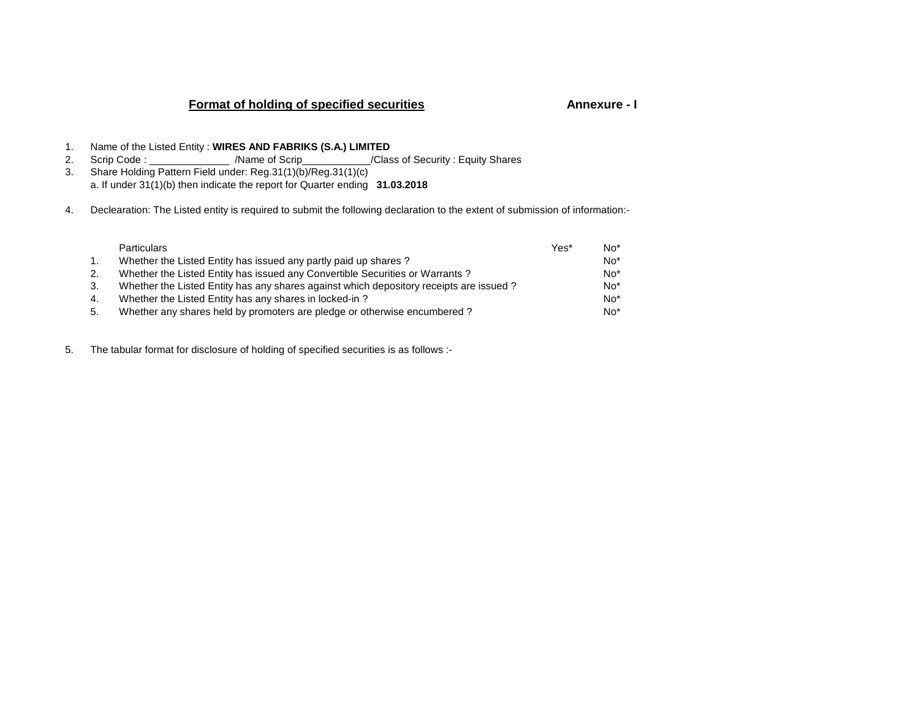# **Format of holding of specified securities**

## **Annexure - I**

- 1. Name of the Listed Entity : **WIRES AND FABRIKS (S.A.) LIMITED**
- 2. Scrip Code : \_\_\_\_\_\_\_\_\_\_\_\_\_\_\_\_ /Name of Scrip\_\_\_\_\_\_\_\_\_\_\_\_/Class of Security : Equity Shares
- 3. Share Holding Pattern Field under: Reg.31(1)(b)/Reg.31(1)(c)a. If under 31(1)(b) then indicate the report for Quarter ending **31.03.2018**
- 4. Declearation: The Listed entity is required to submit the following declaration to the extent of submission of information:-

|    | <b>Particulars</b>                                                                     | Yes* | $No*$ |
|----|----------------------------------------------------------------------------------------|------|-------|
| 1. | Whether the Listed Entity has issued any partly paid up shares?                        |      | $No*$ |
| 2. | Whether the Listed Entity has issued any Convertible Securities or Warrants?           |      | $No*$ |
| 3. | Whether the Listed Entity has any shares against which depository receipts are issued? |      | $No*$ |
| 4. | Whether the Listed Entity has any shares in locked-in?                                 |      | $No*$ |
| 5. | Whether any shares held by promoters are pledge or otherwise encumbered?               |      | $No*$ |

5. The tabular format for disclosure of holding of specified securities is as follows :-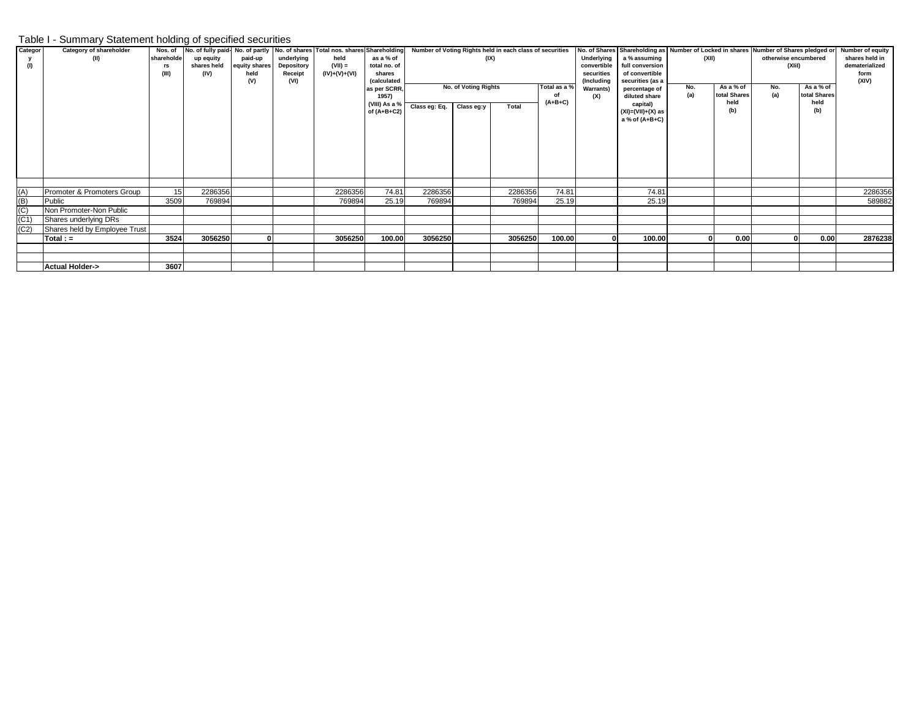### Table I - Summary Statement holding of specified securities

| Categor | Category of shareholder       | Nos. of    |             |               |            | No. of fully paid-No. of partly No. of shares Total nos. shares Shareholding |                                |               |                      | Number of Voting Rights held in each class of securities |              |                                | No. of Shares Shareholding as Number of Locked in shares Number of Shares pledged or |       |                           |                      |                           | <b>Number of equity</b> |
|---------|-------------------------------|------------|-------------|---------------|------------|------------------------------------------------------------------------------|--------------------------------|---------------|----------------------|----------------------------------------------------------|--------------|--------------------------------|--------------------------------------------------------------------------------------|-------|---------------------------|----------------------|---------------------------|-------------------------|
|         | (II)                          | shareholde | up equity   | paid-up       | underlying | held                                                                         | as a % of                      |               | (IX)                 |                                                          |              | Underlying                     | a % assuming                                                                         | (XII) |                           | otherwise encumbered |                           | shares held in          |
| (1)     |                               | rs         | shares held | equity shares | Depository | $(VII) =$                                                                    | total no. of                   |               |                      |                                                          |              | convertible                    | full conversion                                                                      |       |                           | (XI)                 |                           | dematerialized          |
|         |                               | (III)      | (IV)        | held          | Receipt    | $(IV)+(V)+(V)$                                                               | shares                         |               |                      |                                                          |              | securities                     | of convertible                                                                       |       |                           |                      |                           | form                    |
|         |                               |            |             | (V)           | (VI)       |                                                                              | <i><b>(calculated)</b></i>     |               |                      |                                                          | Total as a % | (Including<br>securities (as a |                                                                                      |       |                           |                      |                           | (XIV)                   |
|         |                               |            |             |               |            |                                                                              | as per SCRR.                   |               | No. of Voting Rights |                                                          |              | <b>Warrants)</b>               | percentage of                                                                        | No.   | As a % of<br>total Shares | No.<br>(a)           | As a % of<br>total Shares |                         |
|         |                               |            |             |               |            |                                                                              | 1957)                          |               |                      |                                                          |              | (X)                            | diluted share                                                                        | (a)   | held                      |                      | held                      |                         |
|         |                               |            |             |               |            |                                                                              | (VIII) As a %<br>of $(A+B+C2)$ | Class eg: Eq. | Class eg:y           | Total                                                    | $(A+B+C)$    |                                | capital)<br>$(XI)=(VII)+(X)$ as                                                      |       | (b)                       |                      | (b)                       |                         |
|         |                               |            |             |               |            |                                                                              |                                |               |                      |                                                          |              |                                | a % of (A+B+C)                                                                       |       |                           |                      |                           |                         |
|         |                               |            |             |               |            |                                                                              |                                |               |                      |                                                          |              |                                |                                                                                      |       |                           |                      |                           |                         |
|         |                               |            |             |               |            |                                                                              |                                |               |                      |                                                          |              |                                |                                                                                      |       |                           |                      |                           |                         |
|         |                               |            |             |               |            |                                                                              |                                |               |                      |                                                          |              |                                |                                                                                      |       |                           |                      |                           |                         |
|         |                               |            |             |               |            |                                                                              |                                |               |                      |                                                          |              |                                |                                                                                      |       |                           |                      |                           |                         |
|         |                               |            |             |               |            |                                                                              |                                |               |                      |                                                          |              |                                |                                                                                      |       |                           |                      |                           |                         |
| (A)     | Promoter & Promoters Group    | 15         | 2286356     |               |            | 2286356                                                                      | 74.81                          | 2286356       |                      | 2286356                                                  | 74.81        |                                | 74.81                                                                                |       |                           |                      |                           | 2286356                 |
| (B)     | Public                        | 3509       | 769894      |               |            | 769894                                                                       | 25.19                          | 769894        |                      | 769894                                                   | 25.19        |                                | 25.19                                                                                |       |                           |                      |                           | 589882                  |
| (C)     | Non Promoter-Non Public       |            |             |               |            |                                                                              |                                |               |                      |                                                          |              |                                |                                                                                      |       |                           |                      |                           |                         |
| (C1)    | Shares underlying DRs         |            |             |               |            |                                                                              |                                |               |                      |                                                          |              |                                |                                                                                      |       |                           |                      |                           |                         |
| (C2)    | Shares held by Employee Trust |            |             |               |            |                                                                              |                                |               |                      |                                                          |              |                                |                                                                                      |       |                           |                      |                           |                         |
|         | $Total: =$                    | 3524       | 3056250     |               |            | 3056250                                                                      | 100.00                         | 3056250       |                      | 3056250                                                  | 100.00       |                                | 100.00                                                                               |       | 0.00                      |                      | 0.00                      | 2876238                 |
|         |                               |            |             |               |            |                                                                              |                                |               |                      |                                                          |              |                                |                                                                                      |       |                           |                      |                           |                         |
|         |                               |            |             |               |            |                                                                              |                                |               |                      |                                                          |              |                                |                                                                                      |       |                           |                      |                           |                         |
|         | <b>Actual Holder-&gt;</b>     | 3607       |             |               |            |                                                                              |                                |               |                      |                                                          |              |                                |                                                                                      |       |                           |                      |                           |                         |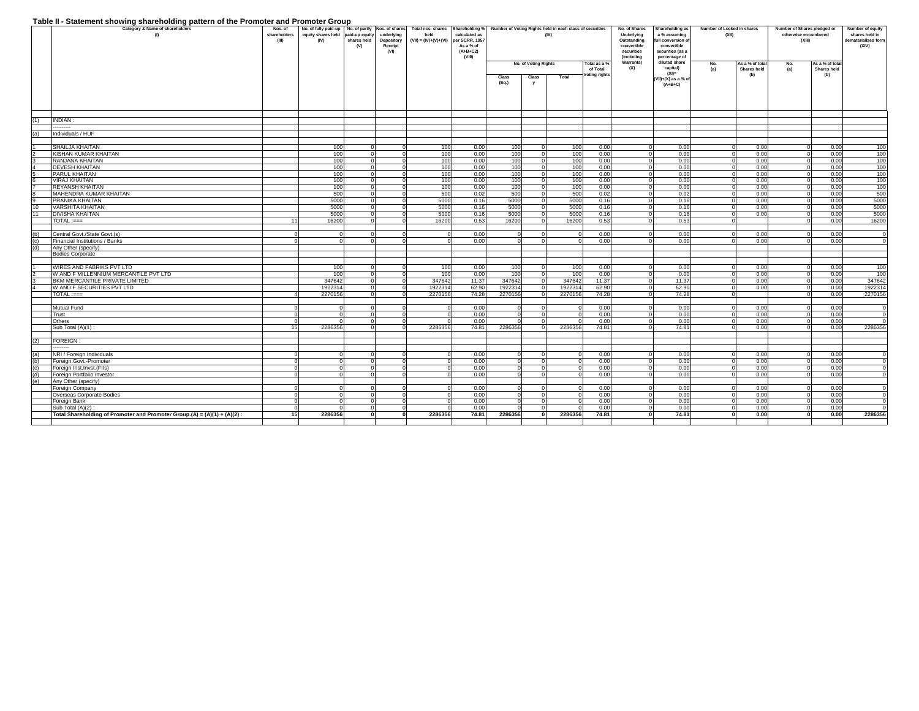#### **Table II - Statement showing shareholding pattern of the Promoter and Promoter Group**

|            | Table if - blatement showing shareholding pattern of the Fromoter and Fromoter Group<br>Category & Name of shareholders<br>$\omega$ | Nos. of<br>shareholders<br>$_{\text{q}}$ | No. of fully paid-up No. of partly Nos. of shares<br>equity shares held paid-up equity<br>(IV) | shares held<br>(V) | underlying<br>Depository<br>Receipt<br>(VI) | Total nos. shares<br>held<br>$(VII) = (IV)+(V)+(VI)$ per SCRR, 1957 | calculated as<br>As a % of<br>$(A+B+C2)$<br>(VIII) |                        | (IX)                 | Shareholding % Number of Voting Rights held in each class of securities |                          | No. of Shares<br>Underlying<br>Outstanding<br>convertible<br>securities<br>(Including | Shareholding as<br>a % assuming<br>full conversion of<br>convertible<br>securities (as a<br>percentage of | Number of Locked in shares<br>(XII) |                                | Number of Shares pledged or<br>otherwise encumbered<br>(XIil) |                                | Number of equity<br>shares held in<br>dematerialized form<br>(XIV) |
|------------|-------------------------------------------------------------------------------------------------------------------------------------|------------------------------------------|------------------------------------------------------------------------------------------------|--------------------|---------------------------------------------|---------------------------------------------------------------------|----------------------------------------------------|------------------------|----------------------|-------------------------------------------------------------------------|--------------------------|---------------------------------------------------------------------------------------|-----------------------------------------------------------------------------------------------------------|-------------------------------------|--------------------------------|---------------------------------------------------------------|--------------------------------|--------------------------------------------------------------------|
|            |                                                                                                                                     |                                          |                                                                                                |                    |                                             |                                                                     |                                                    |                        | No. of Voting Rights |                                                                         | Total as a %<br>of Total | Warrants)<br>(X)                                                                      | diluted share<br>capital)                                                                                 | No.<br>(a)                          | As a % of total<br>Shares held | No.<br>(a)                                                    | As a % of total<br>Shares held |                                                                    |
|            |                                                                                                                                     |                                          |                                                                                                |                    |                                             |                                                                     |                                                    | Class                  | Class                | Total                                                                   | oting rights             |                                                                                       | $(XI) =$                                                                                                  |                                     | (b)                            |                                                               | (b)                            |                                                                    |
|            |                                                                                                                                     |                                          |                                                                                                |                    |                                             |                                                                     |                                                    | (Eq.)                  | y                    |                                                                         |                          |                                                                                       | (VII)+(X) as a % of<br>$(A+B+C)$                                                                          |                                     |                                |                                                               |                                |                                                                    |
|            |                                                                                                                                     |                                          |                                                                                                |                    |                                             |                                                                     |                                                    |                        |                      |                                                                         |                          |                                                                                       |                                                                                                           |                                     |                                |                                                               |                                |                                                                    |
| (1)        | INDIAN:                                                                                                                             |                                          |                                                                                                |                    |                                             |                                                                     |                                                    |                        |                      |                                                                         |                          |                                                                                       |                                                                                                           |                                     |                                |                                                               |                                |                                                                    |
|            |                                                                                                                                     |                                          |                                                                                                |                    |                                             |                                                                     |                                                    |                        |                      |                                                                         |                          |                                                                                       |                                                                                                           |                                     |                                |                                                               |                                |                                                                    |
| (a)        | Individuals / HUF                                                                                                                   |                                          |                                                                                                |                    |                                             |                                                                     |                                                    |                        |                      |                                                                         |                          |                                                                                       |                                                                                                           |                                     |                                |                                                               |                                |                                                                    |
|            | SHAILJA KHAITAN                                                                                                                     |                                          | 100                                                                                            | $\Omega$           |                                             | 100                                                                 | 0.00                                               | 100                    | $\Omega$             | 100                                                                     | 0.00                     |                                                                                       | 0.00                                                                                                      |                                     | 0.00                           | $\Omega$                                                      | 0.00                           | 100                                                                |
|            | KISHAN KUMAR KHAITAN                                                                                                                |                                          | 100                                                                                            | $\overline{0}$     |                                             | 100                                                                 | 0.00                                               | 100                    | $\Omega$             | 100                                                                     | 0.00                     |                                                                                       | 0.00                                                                                                      |                                     | 0.00                           | $\Omega$                                                      | 0.00                           | 100                                                                |
|            | RANJANA KHAITAN                                                                                                                     |                                          | 100                                                                                            | $\Omega$           |                                             | 100                                                                 | 0.00                                               | 100                    | $\Omega$             | 100                                                                     | 0.00                     |                                                                                       | 0.00                                                                                                      |                                     | 0.00                           | $\Omega$                                                      | 0.00                           | 100                                                                |
|            | <b>DEVESH KHAITAN</b>                                                                                                               |                                          | 100                                                                                            | $\Omega$           |                                             | 100                                                                 | 0.00                                               | 100                    | $\Omega$             | 100                                                                     | 0.00                     |                                                                                       | 0.00                                                                                                      |                                     | 0.00                           | $\Omega$                                                      | 0.00                           | 100                                                                |
|            | <b>PARUL KHAITAN</b>                                                                                                                |                                          | 100                                                                                            | $\overline{0}$     |                                             | 100                                                                 | 0.00                                               | 100                    | $\Omega$             | 100                                                                     | 0.00                     |                                                                                       | 0.00                                                                                                      |                                     | 0.00                           | $\Omega$                                                      | 0.00                           | 100                                                                |
|            | <b>VIRAJ KHAITAN</b>                                                                                                                |                                          | 100                                                                                            |                    |                                             | 100                                                                 | 0.00                                               | 100                    |                      | 100                                                                     | 0.00                     |                                                                                       | 0.00                                                                                                      |                                     | 0.00                           |                                                               | 0.00                           | 100                                                                |
|            | <b>REYANSH KHAITAN</b>                                                                                                              |                                          | 100                                                                                            | $\Omega$           |                                             | 100                                                                 | 0.00                                               | 100                    | $\Omega$             | 100                                                                     | 0.00                     |                                                                                       | 0.00                                                                                                      |                                     | 0.00                           | $\Omega$                                                      | 0.00                           | 100                                                                |
|            | MAHENDRA KUMAR KHAITAN                                                                                                              |                                          | 500                                                                                            | $\overline{0}$     |                                             | 500                                                                 | 0.02                                               | 500                    | $\Omega$             | 500                                                                     | 0.02                     |                                                                                       | 0.02                                                                                                      |                                     | 0.00                           | $\Omega$                                                      | 0.00                           | 500                                                                |
|            | PRANIKA KHAITAN                                                                                                                     |                                          | 5000                                                                                           | $\Omega$           |                                             | 5000                                                                | 0.16                                               | 5000                   |                      | 5000                                                                    | 0.16                     |                                                                                       | 0.16                                                                                                      |                                     | 0.00                           |                                                               | 0.00                           | 5000                                                               |
| 10         | <b>VARSHITA KHAITAN</b>                                                                                                             |                                          | 5000                                                                                           | $\Omega$           |                                             | 5000                                                                | 0.16                                               | 5000                   |                      | 5000                                                                    | 0.16                     |                                                                                       | 0.16                                                                                                      |                                     | 0.00                           | $\Omega$                                                      | 0.00                           | 5000                                                               |
| 11         | <b>DIVISHA KHAITAN</b>                                                                                                              |                                          | 5000                                                                                           | $\Omega$           |                                             | 5000                                                                | 0.16                                               | 5000                   |                      | 5000                                                                    | 0.16                     |                                                                                       | 0.16                                                                                                      |                                     | 0.00                           | $\Omega$                                                      | 0.00                           | 5000                                                               |
|            | TOTAL :===                                                                                                                          | 11                                       | 16200                                                                                          | $\Omega$           |                                             | 16200                                                               | 0.53                                               | 16200                  |                      | 16200                                                                   | 0.53                     |                                                                                       | 0.53                                                                                                      |                                     |                                |                                                               | 0.00                           | 16200                                                              |
|            |                                                                                                                                     |                                          |                                                                                                | $\Omega$           |                                             | $\overline{0}$                                                      |                                                    |                        |                      |                                                                         |                          |                                                                                       |                                                                                                           |                                     |                                |                                                               |                                |                                                                    |
| (b)        | Central Govt./State Govt.(s)                                                                                                        | $\Omega$                                 |                                                                                                | $\Omega$           |                                             | $\overline{0}$                                                      | 0.00                                               | $^{\circ}$<br>$\Omega$ |                      |                                                                         | 0.00                     |                                                                                       | 0.00                                                                                                      |                                     | 0.00                           | $\Omega$                                                      | 0.00                           |                                                                    |
| (c)<br>(d) | Financial Institutions / Banks<br>Any Other (specify)                                                                               |                                          |                                                                                                |                    |                                             |                                                                     | 0.00                                               |                        |                      |                                                                         | 0.00                     |                                                                                       | 0.00                                                                                                      |                                     | 0.00                           |                                                               | 0.00                           |                                                                    |
|            | <b>Bodies Corporate</b>                                                                                                             |                                          |                                                                                                |                    |                                             |                                                                     |                                                    |                        |                      |                                                                         |                          |                                                                                       |                                                                                                           |                                     |                                |                                                               |                                |                                                                    |
|            |                                                                                                                                     |                                          |                                                                                                |                    |                                             |                                                                     |                                                    |                        |                      |                                                                         |                          |                                                                                       |                                                                                                           |                                     |                                |                                                               |                                |                                                                    |
|            | WIRES AND FABRIKS PVT LTD                                                                                                           |                                          | 100                                                                                            |                    |                                             | 100                                                                 | 0.00                                               | 100                    |                      | 100                                                                     | 0.00                     |                                                                                       | 0.00                                                                                                      |                                     | 0.00                           |                                                               | 0.00                           | 100                                                                |
|            | W AND F MILLENNIUM MERCANTILE PVT LTD                                                                                               |                                          | 100                                                                                            | $\Omega$           |                                             | 100                                                                 | 0.00                                               | 100                    | $\Omega$             | 100                                                                     | 0.00                     |                                                                                       | 0.00                                                                                                      |                                     | 0.00                           | $\Omega$                                                      | 0.00                           | 100                                                                |
|            | BKM MERCANTILE PRIVATE LIMITED                                                                                                      |                                          | 347642                                                                                         | $\overline{0}$     |                                             | 347642                                                              | 11.37                                              | 347642                 | $\Omega$             | 347642                                                                  | 11.37                    |                                                                                       | 11.37                                                                                                     |                                     | 0.00                           | $\Omega$                                                      | 0.00                           | 347642                                                             |
|            | W AND F SECURITIES PVT LTD                                                                                                          |                                          | 1922314                                                                                        | $\overline{0}$     | $\Omega$                                    | 1922314                                                             | 62.90                                              | 1922314                | $\overline{0}$       | 1922314                                                                 | 62.90                    | $\Omega$                                                                              | 62.90                                                                                                     |                                     | 0.00                           | $\Omega$                                                      | 0.00                           | 1922314                                                            |
|            | $TOTAL := ==$                                                                                                                       | $\Delta$                                 | 2270156                                                                                        | $\circ$            |                                             | 2270156                                                             | 74.28                                              | 2270156                | $\Omega$             | 2270156                                                                 | 74.28                    |                                                                                       | 74.28                                                                                                     |                                     |                                | $\Omega$                                                      | 0.00                           | 2270156                                                            |
|            |                                                                                                                                     |                                          |                                                                                                |                    |                                             |                                                                     |                                                    |                        |                      |                                                                         |                          |                                                                                       |                                                                                                           |                                     |                                |                                                               |                                |                                                                    |
|            | <b>Mutual Fund</b>                                                                                                                  | $\Omega$                                 |                                                                                                | $\Omega$           |                                             | $\circ$                                                             | 0.00                                               | $^{\circ}$             | $\Omega$             |                                                                         | 0.00                     |                                                                                       | 0.00                                                                                                      |                                     | 0.00                           |                                                               | 0.00                           |                                                                    |
|            | Trust                                                                                                                               | $\Omega$                                 |                                                                                                | $\Omega$           |                                             | $\Omega$                                                            | 0.00                                               | $\overline{0}$         | $\Omega$             |                                                                         | 0.00                     |                                                                                       | 0.00                                                                                                      |                                     | 0.00                           | $\Omega$                                                      | 0.00                           |                                                                    |
|            | Others                                                                                                                              | $\Omega$                                 |                                                                                                |                    |                                             | $\Omega$                                                            | 0.00                                               | $\Omega$               |                      |                                                                         | 0.00                     |                                                                                       | 0.00                                                                                                      |                                     | 0.00                           | $\Omega$                                                      | 0.00                           |                                                                    |
|            | Sub Total (A)(1) :                                                                                                                  | 15                                       | 2286356                                                                                        | $\Omega$           |                                             | 2286356                                                             | 74.81                                              | 2286356                | $\Omega$             | 2286356                                                                 | 74.81                    | $\Omega$                                                                              | 74.81                                                                                                     |                                     | 0.00                           | $\Omega$                                                      | 0.00                           | 2286356                                                            |
|            |                                                                                                                                     |                                          |                                                                                                |                    |                                             |                                                                     |                                                    |                        |                      |                                                                         |                          |                                                                                       |                                                                                                           |                                     |                                |                                                               |                                |                                                                    |
| (2)        | <b>FOREIGN:</b>                                                                                                                     |                                          |                                                                                                |                    |                                             |                                                                     |                                                    |                        |                      |                                                                         |                          |                                                                                       |                                                                                                           |                                     |                                |                                                               |                                |                                                                    |
| (a)        | NRI / Foreign Individuals                                                                                                           | $\Omega$                                 |                                                                                                | $\Omega$           |                                             | $\overline{0}$                                                      | 0.00                                               | $\overline{0}$         | $\Omega$             |                                                                         | 0.00                     |                                                                                       | 0.00                                                                                                      |                                     | 0.00                           | $\Omega$                                                      | 0.00                           |                                                                    |
| (b)        | Foreign.Govt.-Promoter                                                                                                              | $\Omega$                                 |                                                                                                | $\Omega$           |                                             | $\circ$                                                             | 0.00                                               | $\mathbf{0}$           | $\Omega$             |                                                                         | 0.00                     |                                                                                       | 0.00                                                                                                      |                                     | 0.00                           | $\Omega$                                                      | 0.00                           |                                                                    |
| (c)        | Foreign Inst.Invst.(FIIs)                                                                                                           |                                          |                                                                                                |                    |                                             | $\Omega$                                                            | 0.00                                               | $\Omega$               |                      |                                                                         | 0.00                     |                                                                                       | 0.00                                                                                                      |                                     | 0.00                           |                                                               | 0.00                           |                                                                    |
| (d)        | Foreign Portfolio Investor                                                                                                          |                                          |                                                                                                |                    |                                             | $\Omega$                                                            | 0.00                                               | $\Omega$               |                      |                                                                         | 0.00                     |                                                                                       | 0.00                                                                                                      |                                     | 0.00                           |                                                               | 0.00                           |                                                                    |
| (e)        | Any Other (specify)                                                                                                                 |                                          |                                                                                                |                    |                                             |                                                                     |                                                    |                        |                      |                                                                         |                          |                                                                                       |                                                                                                           |                                     |                                |                                                               |                                |                                                                    |
|            | Foreign Company                                                                                                                     | $\Omega$                                 |                                                                                                |                    |                                             | $\overline{0}$                                                      | 0.00                                               | $\circ$                |                      |                                                                         | 0.00                     |                                                                                       | 0.00                                                                                                      |                                     | 0.00                           |                                                               | 0.00                           |                                                                    |
|            | Overseas Corporate Bodies                                                                                                           | $\Omega$                                 |                                                                                                | $\Omega$           |                                             | $\Omega$                                                            | 0.00                                               | $\Omega$               |                      |                                                                         | 0.00                     |                                                                                       | 0.00                                                                                                      |                                     | 0.00                           |                                                               | 0.00                           |                                                                    |
|            | Foreign Bank                                                                                                                        |                                          |                                                                                                |                    |                                             | $\Omega$                                                            | 0.00                                               | $\Omega$               |                      |                                                                         | 0.00                     |                                                                                       | 0.00                                                                                                      |                                     | 0.00                           |                                                               | 0.00                           |                                                                    |
|            | Sub Total (A)(2)                                                                                                                    | $\Omega$                                 |                                                                                                | $\Omega$           |                                             | $\Omega$                                                            | 0.00                                               |                        |                      |                                                                         | 0.00                     |                                                                                       | 0.00                                                                                                      |                                     | 0.00                           |                                                               | 0.00                           |                                                                    |
|            | Total Shareholding of Promoter and Promoter Group. $(A) = (A)(1) + (A)(2)$ :                                                        | 15                                       | 2286356                                                                                        | $\mathbf{0}$       |                                             | 2286356                                                             | 74.81                                              | 2286356                |                      | 2286356                                                                 | 74.81                    |                                                                                       | 74.81                                                                                                     |                                     | 0.00                           |                                                               | 0.00                           | 2286356                                                            |
|            |                                                                                                                                     |                                          |                                                                                                |                    |                                             |                                                                     |                                                    |                        |                      |                                                                         |                          |                                                                                       |                                                                                                           |                                     |                                |                                                               |                                |                                                                    |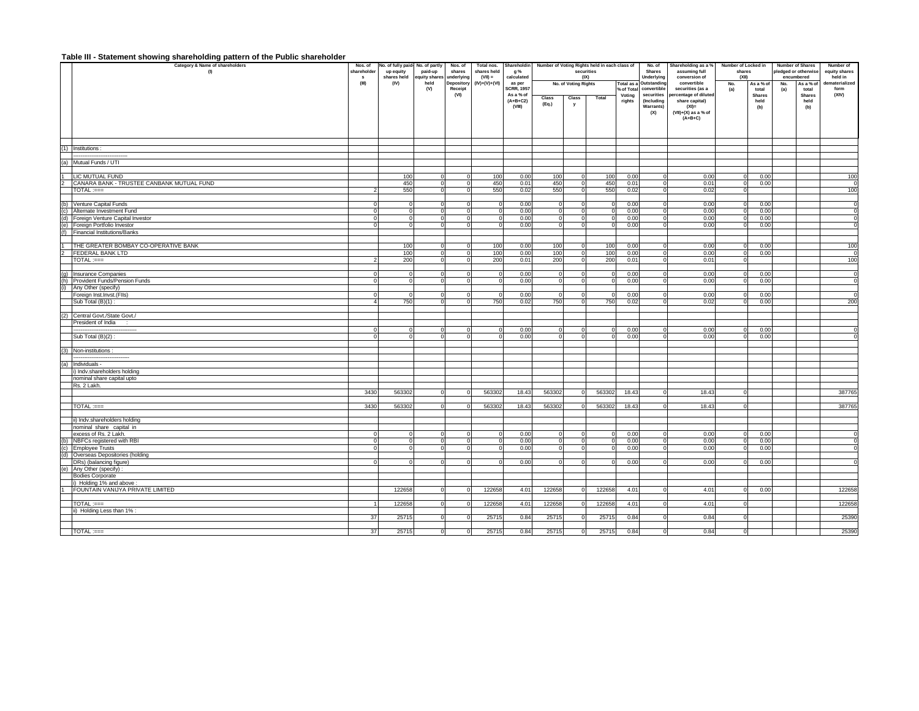#### **Table III - Statement showing shareholding pattern of the Public shareholder**

|                | Category & Name of shareholders           | Nos. of     | No. of fully paid- No. of partly |               | Nos. of    | Total nos. Shareholdin |                                |        |                      | Number of Voting Rights held in each class of |                      | No. of                    | Shareholding as a %                      | Number of Locked in |                        | Number of Shares     |                        | Number of      |  |
|----------------|-------------------------------------------|-------------|----------------------------------|---------------|------------|------------------------|--------------------------------|--------|----------------------|-----------------------------------------------|----------------------|---------------------------|------------------------------------------|---------------------|------------------------|----------------------|------------------------|----------------|--|
|                | (1)                                       | shareholder | up equity                        | paid-up       | shares     | shares held            | <b>g</b> %                     |        | securities           |                                               |                      | Shares                    | assuming full                            | shares              |                        | pledged or otherwise |                        | equity shares  |  |
|                |                                           | s           | shares held                      | equity shares | underlying | $(VII) =$              | calculated                     |        | (IX)                 |                                               |                      | Underlying                | conversion of                            | (X  )               |                        | encumbered           |                        | held in        |  |
|                |                                           | (III)       | (IV)                             | held          | Depository | $(IV)+(V)+(VI)$        | as per                         |        | No. of Voting Rights |                                               | Total as a           | Outstanding               | convertible                              | No.                 | As a % of              | No.                  | As a % of              | dematerialized |  |
|                |                                           |             |                                  | (V)           | Receipt    |                        | <b>SCRR, 1957</b><br>As a % of |        |                      |                                               | % of Total<br>Votina | convertible<br>securities | securities (as a<br>ercentage of diluted | (a)                 | total<br><b>Shares</b> | (a)                  | total<br><b>Shares</b> | form<br>(XIV)  |  |
|                |                                           |             |                                  |               | (VI)       |                        | $(A+B+C2)$                     | Class  | Class                | Total                                         | rights               | (Including                | share capital)                           |                     | held                   |                      | held                   |                |  |
|                |                                           |             |                                  |               |            |                        | (VIII)                         | (Eq.)  | v                    |                                               |                      | <b>Warrants)</b>          | $(XI) =$                                 |                     | (b)                    |                      | (b)                    |                |  |
|                |                                           |             |                                  |               |            |                        |                                |        |                      |                                               |                      | (X)                       | $(VII)+(X)$ as a % of                    |                     |                        |                      |                        |                |  |
|                |                                           |             |                                  |               |            |                        |                                |        |                      |                                               |                      |                           | $(A+B+C)$                                |                     |                        |                      |                        |                |  |
|                |                                           |             |                                  |               |            |                        |                                |        |                      |                                               |                      |                           |                                          |                     |                        |                      |                        |                |  |
|                |                                           |             |                                  |               |            |                        |                                |        |                      |                                               |                      |                           |                                          |                     |                        |                      |                        |                |  |
|                |                                           |             |                                  |               |            |                        |                                |        |                      |                                               |                      |                           |                                          |                     |                        |                      |                        |                |  |
|                | (1) Institutions:                         |             |                                  |               |            |                        |                                |        |                      |                                               |                      |                           |                                          |                     |                        |                      |                        |                |  |
|                |                                           |             |                                  |               |            |                        |                                |        |                      |                                               |                      |                           |                                          |                     |                        |                      |                        |                |  |
|                | (a) Mutual Funds / UTI                    |             |                                  |               |            |                        |                                |        |                      |                                               |                      |                           |                                          |                     |                        |                      |                        |                |  |
|                |                                           |             |                                  |               |            |                        |                                |        |                      |                                               |                      |                           |                                          |                     |                        |                      |                        |                |  |
| Ŧ              | LIC MUTUAL FUND                           |             | 10 <sub>0</sub>                  |               |            | 100                    | 0.00                           | 100    |                      | 100                                           | 0.00                 |                           | 0.00                                     | $\Omega$            | 0.00                   |                      |                        | 100            |  |
|                | CANARA BANK - TRUSTEE CANBANK MUTUAL FUND |             |                                  |               |            | 450                    |                                | 450    |                      | 450                                           | 0.01                 |                           |                                          |                     | 0.00                   |                      |                        | $\Omega$       |  |
|                |                                           |             | 450<br>550                       |               |            | 550                    | 0.01<br>0.02                   |        |                      | 550                                           | 0.02                 | $^{\circ}$<br>$\Omega$    | 0.01<br>0.02                             | $\circ$             |                        |                      |                        | 100            |  |
|                | TOTAL :===                                |             |                                  |               |            |                        |                                | 550    |                      |                                               |                      |                           |                                          | $\circ$             |                        |                      |                        |                |  |
|                |                                           |             |                                  |               |            |                        |                                |        |                      |                                               |                      |                           |                                          |                     |                        |                      |                        |                |  |
|                | (b) Venture Capital Funds                 |             |                                  |               |            |                        | 0.00                           |        |                      |                                               | 0.00                 |                           | 0.00                                     |                     | 0.00                   |                      |                        | $\mathbf 0$    |  |
|                | (c) Alternate Investment Fund             |             |                                  |               |            |                        | 0.00                           |        |                      |                                               | 0.00                 |                           | 0.00                                     | $\Omega$            | 0.00                   |                      |                        | $\mathbf 0$    |  |
| (d)            | Foreign Venture Capital Investor          |             |                                  |               |            |                        | 0.00                           |        |                      |                                               | 0.00                 | $\Omega$                  | 0.00                                     | $\Omega$            | 0.00                   |                      |                        | $\Omega$       |  |
| (e)            | Foreign Portfolio Investor                |             |                                  |               |            |                        | 0.00                           |        |                      |                                               | 0.00                 |                           | 0.00                                     | $\Omega$            | 0.00                   |                      |                        |                |  |
|                | (f) Financial Institutions/Banks          |             |                                  |               |            |                        |                                |        |                      |                                               |                      |                           |                                          |                     |                        |                      |                        |                |  |
|                |                                           |             |                                  |               |            |                        |                                |        |                      |                                               |                      |                           |                                          |                     |                        |                      |                        |                |  |
|                | THE GREATER BOMBAY CO-OPERATIVE BANK      |             | 100                              |               |            | 100                    | 0.00                           | 100    |                      | 100                                           | 0.00                 |                           | 0.00                                     |                     | 0.00                   |                      |                        | 100            |  |
| $\overline{c}$ | <b>FEDERAL BANK LTD</b>                   |             | 100                              | ſ             |            | 100                    | 0.00                           | 100    |                      | 100                                           | 0.00                 |                           | 0.00                                     | $\Omega$            | 0.00                   |                      |                        | $\Omega$       |  |
|                | TOTAL :===                                |             | 200                              |               |            | 200                    | 0.01                           | 200    |                      | 200                                           | 0.01                 |                           | 0.01                                     | $\Omega$            |                        |                      |                        | 100            |  |
|                |                                           |             |                                  |               |            |                        |                                |        |                      |                                               |                      |                           |                                          |                     |                        |                      |                        |                |  |
|                | (g) Insurance Companies                   |             |                                  | c             |            |                        | 0.00                           |        |                      |                                               | 0.00                 |                           | 0.00                                     | $\Omega$            | 0.00                   |                      |                        | $\Omega$       |  |
| (h)            | Provident Funds/Pension Funds             |             |                                  |               |            |                        | 0.00                           |        |                      |                                               | 0.00                 |                           | 0.00                                     | $\Omega$            | 0.00                   |                      |                        | $\Omega$       |  |
| (i)            | Any Other (specify)                       |             |                                  |               |            |                        |                                |        |                      |                                               |                      |                           |                                          |                     |                        |                      |                        |                |  |
|                | Foreign Inst.Invst.(FIIs)                 |             |                                  |               |            |                        | 0.00                           |        |                      |                                               | 0.00                 |                           | 0.00                                     | $\Omega$            | 0.00                   |                      |                        | $\Omega$       |  |
|                | Sub Total (B)(1) :                        |             | 750                              | $\Omega$      |            | 750                    | 0.02                           | 750    |                      | 750                                           | 0.02                 | $\Omega$                  | 0.02                                     | $\mathbf 0$         | 0.00                   |                      |                        | 200            |  |
|                |                                           |             |                                  |               |            |                        |                                |        |                      |                                               |                      |                           |                                          |                     |                        |                      |                        |                |  |
|                | (2) Central Govt./State Govt./            |             |                                  |               |            |                        |                                |        |                      |                                               |                      |                           |                                          |                     |                        |                      |                        |                |  |
|                | President of India                        |             |                                  |               |            |                        |                                |        |                      |                                               |                      |                           |                                          |                     |                        |                      |                        |                |  |
|                |                                           |             |                                  |               |            |                        | 0.00                           |        |                      |                                               | 0.00                 |                           | 0.00                                     | 0                   | 0.00                   |                      |                        |                |  |
|                | Sub Total (B)(2):                         |             |                                  |               |            |                        | 0.00                           |        |                      |                                               | 0.00                 | $\Omega$                  | 0.00                                     | $\mathbf 0$         | 0.00                   |                      |                        |                |  |
|                |                                           |             |                                  |               |            |                        |                                |        |                      |                                               |                      |                           |                                          |                     |                        |                      |                        |                |  |
|                | (3) Non-institutions :                    |             |                                  |               |            |                        |                                |        |                      |                                               |                      |                           |                                          |                     |                        |                      |                        |                |  |
|                |                                           |             |                                  |               |            |                        |                                |        |                      |                                               |                      |                           |                                          |                     |                        |                      |                        |                |  |
|                | (a) Individuals -                         |             |                                  |               |            |                        |                                |        |                      |                                               |                      |                           |                                          |                     |                        |                      |                        |                |  |
|                | ) Indv.shareholders holding               |             |                                  |               |            |                        |                                |        |                      |                                               |                      |                           |                                          |                     |                        |                      |                        |                |  |
|                | nominal share capital upto                |             |                                  |               |            |                        |                                |        |                      |                                               |                      |                           |                                          |                     |                        |                      |                        |                |  |
|                | Rs. 2 Lakh.                               |             |                                  |               |            |                        |                                |        |                      |                                               |                      |                           |                                          |                     |                        |                      |                        |                |  |
|                |                                           | 3430        | 563302                           |               |            | 563302                 | 18.43                          | 563302 |                      | 563302                                        | 18.43                |                           | 18.43                                    | $\Omega$            |                        |                      |                        | 387765         |  |
|                |                                           |             |                                  |               |            |                        |                                |        |                      |                                               |                      |                           |                                          |                     |                        |                      |                        |                |  |
|                | TOTAL :===                                | 3430        | 563302                           |               |            | 563302                 | 18.43                          | 563302 |                      | 563302                                        | 18.43                |                           | 18.43                                    | 0                   |                        |                      |                        | 387765         |  |
|                |                                           |             |                                  |               |            |                        |                                |        |                      |                                               |                      |                           |                                          |                     |                        |                      |                        |                |  |
|                | ii) Indv.shareholders holding             |             |                                  |               |            |                        |                                |        |                      |                                               |                      |                           |                                          |                     |                        |                      |                        |                |  |
|                | nominal share capital in                  |             |                                  |               |            |                        |                                |        |                      |                                               |                      |                           |                                          |                     |                        |                      |                        |                |  |
|                | excess of Rs. 2 Lakh.                     |             |                                  |               |            |                        | 0.00                           |        |                      |                                               | 0.00                 |                           | 0.00                                     |                     | 0.00                   |                      |                        |                |  |
|                | (b) NBFCs registered with RBI             |             |                                  |               |            |                        | 0.00                           |        |                      |                                               | 0.00                 | $^{\circ}$                | 0.00                                     | $\Omega$            | 0.00                   |                      |                        |                |  |
|                | (c) Employee Trusts                       |             |                                  |               |            |                        | 0.00                           |        |                      |                                               | 0.00                 |                           | 0.00                                     | $\Omega$            | 0.00                   |                      |                        |                |  |
|                | (d) Overseas Depositories (holding        |             |                                  |               |            |                        |                                |        |                      |                                               |                      |                           |                                          |                     |                        |                      |                        |                |  |
|                | DRs) (balancing figure)                   |             |                                  |               |            |                        | 0.00                           |        |                      |                                               | 0.00                 |                           | 0.00                                     |                     | 0.00                   |                      |                        |                |  |
| (e)            |                                           |             |                                  |               |            |                        |                                |        |                      |                                               |                      |                           |                                          |                     |                        |                      |                        |                |  |
|                | Any Other (specify)                       |             |                                  |               |            |                        |                                |        |                      |                                               |                      |                           |                                          |                     |                        |                      |                        |                |  |
|                | <b>Bodies Corporate</b>                   |             |                                  |               |            |                        |                                |        |                      |                                               |                      |                           |                                          |                     |                        |                      |                        |                |  |
|                | i) Holding 1% and above:                  |             |                                  |               |            |                        |                                |        |                      |                                               |                      |                           |                                          |                     |                        |                      |                        |                |  |
|                | FOUNTAIN VANIJYA PRIVATE LIMITED          |             | 122658                           |               |            | 122658                 | 4.01                           | 122658 |                      | 122658                                        | 4.01                 |                           | 4.01                                     | $\Omega$            | 0.00                   |                      |                        | 122658         |  |
|                |                                           |             |                                  |               |            |                        |                                |        |                      |                                               |                      |                           |                                          |                     |                        |                      |                        |                |  |
|                | $TOTAL := ==$                             |             | 122658                           |               |            | 122658                 | 4.01                           | 122658 |                      | 122658                                        | 4.01                 |                           | 4.01                                     | $\Omega$            |                        |                      |                        | 122658         |  |
|                | ii) Holding Less than 1% :                |             |                                  |               |            |                        |                                |        |                      |                                               |                      |                           |                                          |                     |                        |                      |                        |                |  |
|                |                                           | 37          | 25715                            |               |            | 25715                  | 0.84                           | 25715  |                      | 25715                                         | 0.84                 |                           | 0.84                                     | $\Omega$            |                        |                      |                        | 25390          |  |
|                |                                           |             |                                  |               |            |                        |                                |        |                      |                                               |                      |                           |                                          |                     |                        |                      |                        |                |  |
|                | $TOTAL := =$                              | 37          | 25715                            |               |            | 25715                  | 0.84                           | 25715  |                      | 25715                                         | 0.84                 |                           | 0.84                                     |                     |                        |                      |                        | 25390          |  |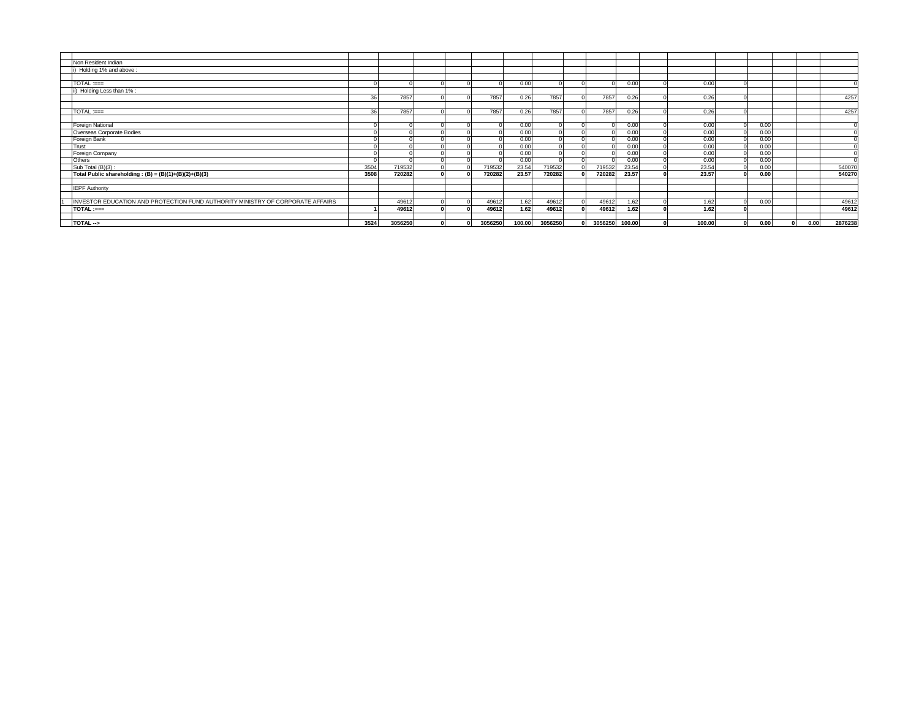| Non Resident Indian                                                            |      |         |  |         |        |         |         |        |        |      |      |         |
|--------------------------------------------------------------------------------|------|---------|--|---------|--------|---------|---------|--------|--------|------|------|---------|
| i) Holding 1% and above                                                        |      |         |  |         |        |         |         |        |        |      |      |         |
|                                                                                |      |         |  |         |        |         |         |        |        |      |      |         |
| $TOTAL := =$                                                                   |      |         |  |         | 0.00   |         |         | 0.00   | 0.00   |      |      |         |
| ii) Holding Less than 1%                                                       |      |         |  |         |        |         |         |        |        |      |      |         |
|                                                                                | 36   | 7857    |  | 7857    | 0.26   | 7857    | 7857    | 0.26   | 0.26   |      |      | 4257    |
|                                                                                |      |         |  |         |        |         |         |        |        |      |      |         |
| TOTAL :===                                                                     | 36   | 7857    |  | 7857    | 0.26   | 7857    | 7857    | 0.26   | 0.26   |      |      | 4257    |
|                                                                                |      |         |  |         |        |         |         |        |        |      |      |         |
| <b>Foreign National</b>                                                        |      |         |  |         | 0.00   |         |         | 0.00   | 0.00   | 0.00 |      |         |
| Overseas Corporate Bodies                                                      |      |         |  |         | 0.00   |         |         | 0.00   | 0.00   | 0.00 |      |         |
| Foreign Bank                                                                   |      |         |  |         | 0.00   |         |         | 0.00   | 0.00   | 0.00 |      |         |
| Trust                                                                          |      |         |  |         | 0.00   |         |         | 0.00   | 0.00   | 0.00 |      |         |
| Foreign Company                                                                |      |         |  |         | 0.00   |         |         | 0.00   | 0.00   | 0.00 |      |         |
| Others                                                                         |      |         |  |         | 0.00   |         |         | 0.00   | 0.00   | 0.00 |      |         |
| Sub Total (B)(3):                                                              | 3504 | 719532  |  | 719532  | 23.54  | 719532  | 719532  | 23.54  | 23.54  | 0.00 |      | 540070  |
| Total Public shareholding: $(B) = (B)(1)+(B)(2)+(B)(3)$                        | 3508 | 720282  |  | 720282  | 23.57  | 720282  | 720282  | 23.57  | 23.57  | 0.00 |      | 540270  |
|                                                                                |      |         |  |         |        |         |         |        |        |      |      |         |
| <b>IEPF Authority</b>                                                          |      |         |  |         |        |         |         |        |        |      |      |         |
|                                                                                |      |         |  |         |        |         |         |        |        |      |      |         |
| INVESTOR EDUCATION AND PROTECTION FUND AUTHORITY MINISTRY OF CORPORATE AFFAIRS |      | 49612   |  | 49612   | 1.62   | 49612   | 49612   | 1.62   | 1.62   | 0.00 |      | 49612   |
| TOTAL :===                                                                     |      | 49612   |  | 49612   | 1.62   | 49612   | 49612   | 1.62   | 1.62   |      |      | 49612   |
|                                                                                |      |         |  |         |        |         |         |        |        |      |      |         |
| TOTAL->                                                                        | 3524 | 3056250 |  | 3056250 | 100.00 | 3056250 | 3056250 | 100.00 | 100.00 | 0.00 | 0.00 | 2876238 |